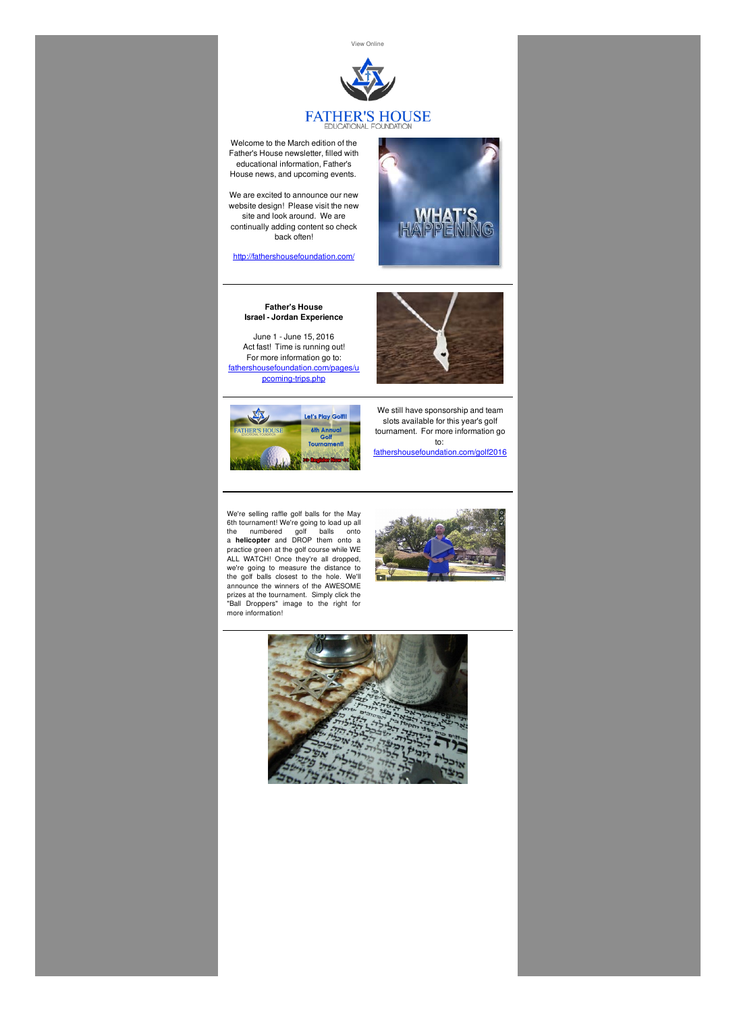View [Online]({VR_HOSTED_LINK})



## FATHER'S HOUSE

Welcome to the March edition of the Father's House newsletter, filled with educational information, Father's House news, and upcoming events.

We are excited to announce our new website design! Please visit the new site and look around. We are continually adding content so check back often!

<http://fathershousefoundation.com/>

## **Father's House Israel - Jordan Experience**

June 1 - June 15, 2016 Act fast! Time is running out! For more information go to: [fathershousefoundation.com/pages/u](http://fathershousefoundation.com/upcoming-trips/) pcoming-trips.php



HAPPENING



We still have sponsorship and team slots available for this year's golf tournament. For more information go to: [fathershousefoundation.com/golf2016](http://fathershousefoundation.com/golf2016/)

We're selling raffle golf balls for the May 6th tournament! We're going to load up all the numbered golf balls onto a **helicopter** and DROP them onto a practice green at the golf course while WE ALL WATCH! Once they're all dropped, we're going to measure the distance to the golf balls closest to the hole. We'll announce the winners of the AWESOME prizes at the tournament. Simply click the "Ball Droppers" image to the right for more information!



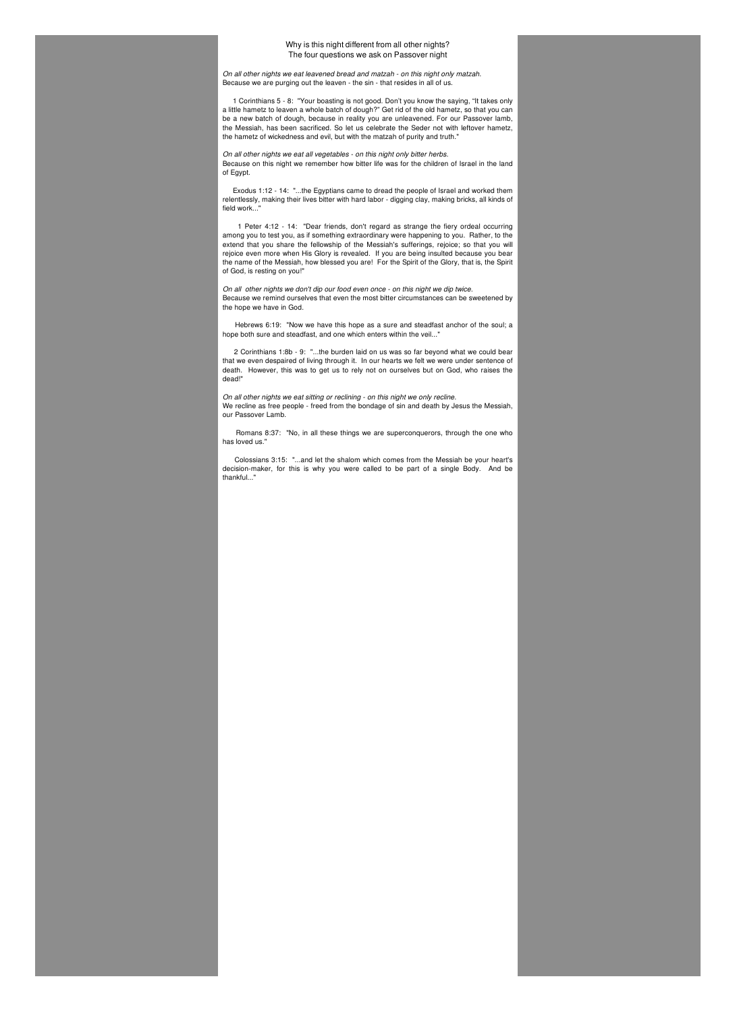## Why is this night different from all other nights? The four questions we ask on Passover night

*On all other nights we eat leavened bread and matzah - on this night only matzah.* Because we are purging out the leaven - the sin - that resides in all of us.

1 Corinthians 5 - 8: "Your boasting is not good. Don't you know the saying, "It takes only a little hametz to leaven a whole batch of dough?" Get rid of the old hametz, so that you can be a new batch of dough, because in reality you are unleavened. For our Passover lamb, the Messiah, has been sacrificed. So let us celebrate the Seder not with leftover hametz, the hametz of wickedness and evil, but with the matzah of purity and truth."

*On all other nights we eat all vegetables - on this night only bitter herbs.* Because on this night we remember how bitter life was for the children of Israel in the land of Egypt.

Exodus 1:12 - 14: "...the Egyptians came to dread the people of Israel and worked them relentlessly, making their lives bitter with hard labor - digging clay, making bricks, all kinds of field work..."

1 Peter 4:12 - 14: "Dear friends, don't regard as strange the fiery ordeal occurring among you to test you, as if something extraordinary were happening to you. Rather, to the extend that you share the fellowship of the Messiah's sufferings, rejoice; so that you will rejoice even more when His Glory is revealed. If you are being insulted because you bear the name of the Messiah, how blessed you are! For the Spirit of the Glory, that is, the Spirit of God, is resting on you!"

*On all other nights we don't dip our food even once - on this night we dip twice.* Because we remind ourselves that even the most bitter circumstances can be sweetened by the hope we have in God.

Hebrews 6:19: "Now we have this hope as a sure and steadfast anchor of the soul; a hope both sure and steadfast, and one which enters within the veil..."

2 Corinthians 1:8b - 9: "...the burden laid on us was so far beyond what we could bear that we even despaired of living through it. In our hearts we felt we were under sentence of death. However, this was to get us to rely not on ourselves but on God, who raises the dead!"

*On all other nights we eat sitting or reclining - on this night we only recline.* We recline as free people - freed from the bondage of sin and death by Jesus the Messiah, our Passover Lamb.

Romans 8:37: "No, in all these things we are superconquerors, through the one who has loved us."

Colossians 3:15: "...and let the shalom which comes from the Messiah be your heart's decision-maker, for this is why you were called to be part of a single Body. And be thankful..."

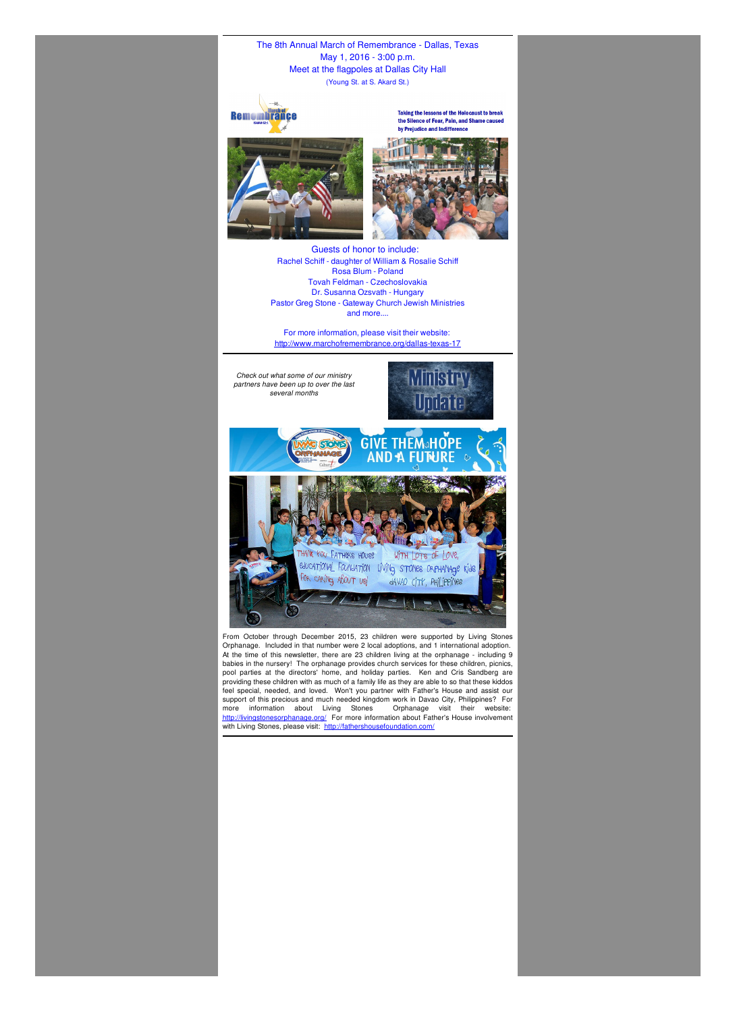The 8th Annual March of Remembrance - Dallas, Texas May 1, 2016 - 3:00 p.m. Meet at the flagpoles at Dallas City Hall (Young St. at S. Akard St.)



Taking the lessons of the Holocaust to break the Silence of Fear, Pain, and Shame caused by Prejudice and Indifference





From October through December 2015, 23 children were supported by Living Stones Orphanage. Included in that number were 2 local adoptions, and 1 international adoption. At the time of this newsletter, there are 23 children living at the orphanage - including 9 babies in the nursery! The orphanage provides church services for these children, picnics, pool parties at the directors' home, and holiday parties. Ken and Cris Sandberg are providing these children with as much of a family life as they are able to so that these kiddos feel special, needed, and loved. Won't you partner with Father's House and assist our support of this precious and much needed kingdom work in Davao City, Philippines? For more information about Living Stones Orphanage visit their website: <http://livingstonesorphanage.org/> For more information about Father's House involvement with Living Stones, please visit: <http://fathershousefoundation.com/>

Guests of honor to include: Rachel Schiff - daughter of William & Rosalie Schiff Rosa Blum - Poland Tovah Feldman - Czechoslovakia Dr. Susanna Ozsvath - Hungary Pastor Greg Stone - Gateway Church Jewish Ministries and more....

For more information, please visit their website: <http://www.marchofremembrance.org/dallas-texas-17>

*Check out what some of our ministry partners have been up to over the last several months*